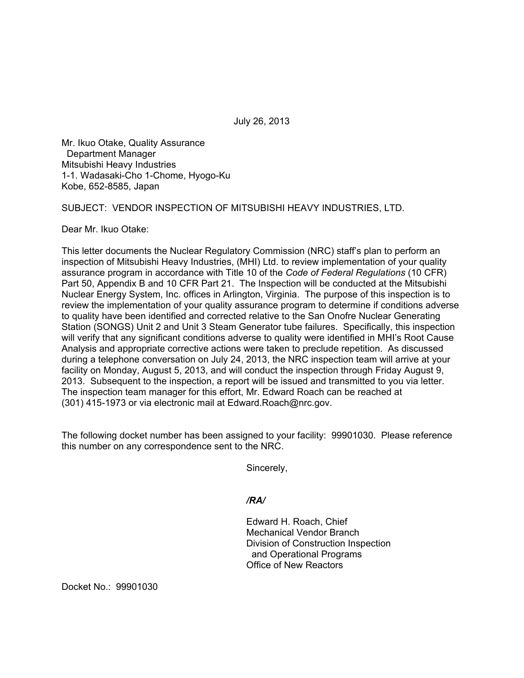July 26, 2013

Mr. Ikuo Otake, Quality Assurance Department Manager Mitsubishi Heavy Industries 1-1. Wadasaki-Cho 1-Chome, Hyogo-Ku Kobe, 652-8585, Japan

SUBJECT: VENDOR INSPECTION OF MITSUBISHI HEAVY INDUSTRIES, LTD.

Dear Mr. Ikuo Otake:

This letter documents the Nuclear Regulatory Commission (NRC) staff's plan to perform an inspection of Mitsubishi Heavy Industries, (MHI) Ltd. to review implementation of your quality assurance program in accordance with Title 10 of the *Code of Federal Regulations* (10 CFR) Part 50, Appendix B and 10 CFR Part 21. The Inspection will be conducted at the Mitsubishi Nuclear Energy System, Inc. offices in Arlington, Virginia. The purpose of this inspection is to review the implementation of your quality assurance program to determine if conditions adverse to quality have been identified and corrected relative to the San Onofre Nuclear Generating Station (SONGS) Unit 2 and Unit 3 Steam Generator tube failures. Specifically, this inspection will verify that any significant conditions adverse to quality were identified in MHI's Root Cause Analysis and appropriate corrective actions were taken to preclude repetition. As discussed during a telephone conversation on July 24, 2013, the NRC inspection team will arrive at your facility on Monday, August 5, 2013, and will conduct the inspection through Friday August 9, 2013. Subsequent to the inspection, a report will be issued and transmitted to you via letter. The inspection team manager for this effort, Mr. Edward Roach can be reached at (301) 415-1973 or via electronic mail at Edward.Roach@nrc.gov.

The following docket number has been assigned to your facility: 99901030. Please reference this number on any correspondence sent to the NRC.

Sincerely,

## */RA/*

Edward H. Roach, Chief Mechanical Vendor Branch Division of Construction Inspection and Operational Programs Office of New Reactors

Docket No.: 99901030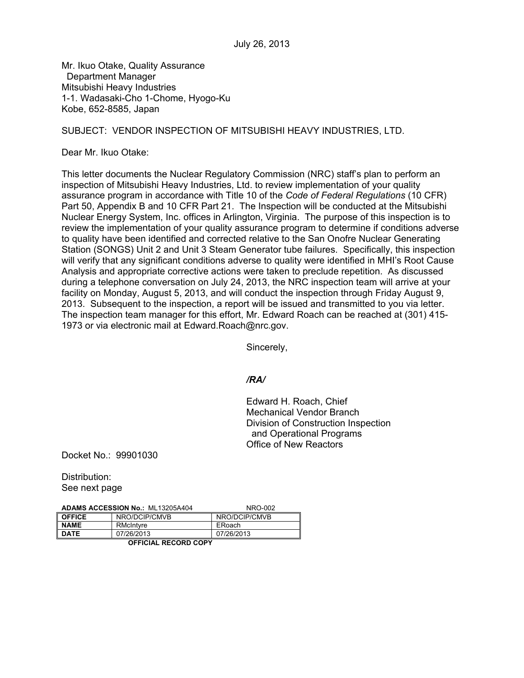Mr. Ikuo Otake, Quality Assurance Department Manager Mitsubishi Heavy Industries 1-1. Wadasaki-Cho 1-Chome, Hyogo-Ku Kobe, 652-8585, Japan

## SUBJECT: VENDOR INSPECTION OF MITSUBISHI HEAVY INDUSTRIES, LTD.

Dear Mr. Ikuo Otake:

This letter documents the Nuclear Regulatory Commission (NRC) staff's plan to perform an inspection of Mitsubishi Heavy Industries, Ltd. to review implementation of your quality assurance program in accordance with Title 10 of the *Code of Federal Regulations* (10 CFR) Part 50, Appendix B and 10 CFR Part 21. The Inspection will be conducted at the Mitsubishi Nuclear Energy System, Inc. offices in Arlington, Virginia. The purpose of this inspection is to review the implementation of your quality assurance program to determine if conditions adverse to quality have been identified and corrected relative to the San Onofre Nuclear Generating Station (SONGS) Unit 2 and Unit 3 Steam Generator tube failures. Specifically, this inspection will verify that any significant conditions adverse to quality were identified in MHI's Root Cause Analysis and appropriate corrective actions were taken to preclude repetition. As discussed during a telephone conversation on July 24, 2013, the NRC inspection team will arrive at your facility on Monday, August 5, 2013, and will conduct the inspection through Friday August 9, 2013. Subsequent to the inspection, a report will be issued and transmitted to you via letter. The inspection team manager for this effort, Mr. Edward Roach can be reached at (301) 415- 1973 or via electronic mail at Edward.Roach@nrc.gov.

Sincerely,

## */RA/*

Edward H. Roach, Chief Mechanical Vendor Branch Division of Construction Inspection and Operational Programs Office of New Reactors

Docket No.: 99901030

Distribution: See next page

| <b>ADAMS ACCESSION No.: ML13205A404</b> |               | NRO-002       |
|-----------------------------------------|---------------|---------------|
| <b>OFFICE</b>                           | NRO/DCIP/CMVB | NRO/DCIP/CMVB |
| <b>NAME</b>                             | RMcIntyre     | ERoach        |
| <b>DATE</b>                             | 07/26/2013    | 07/26/2013    |

**OFFICIAL RECORD COPY**